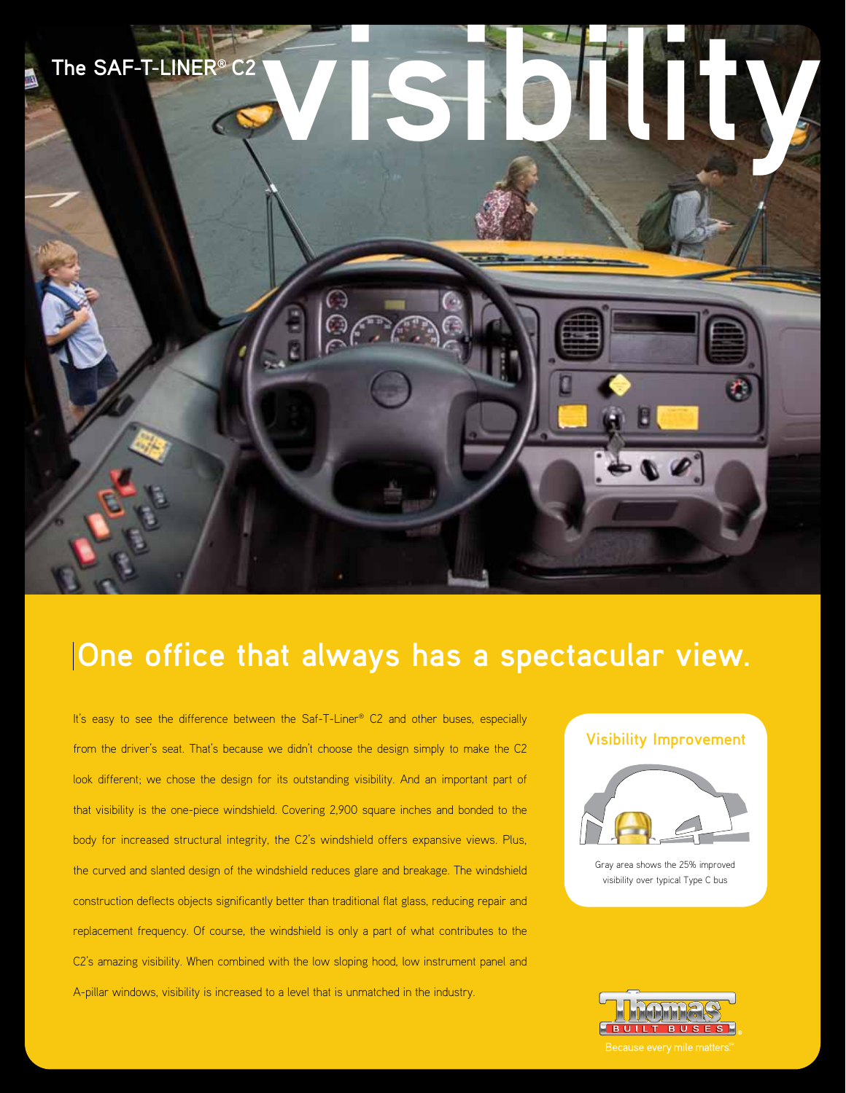

# **One office that always has a spectacular view.**

It's easy to see the difference between the Saf-T-Liner® C2 and other buses, especially from the driver's seat. That's because we didn't choose the design simply to make the C2 look different; we chose the design for its outstanding visibility. And an important part of that visibility is the one-piece windshield. Covering 2,900 square inches and bonded to the body for increased structural integrity, the C2's windshield offers expansive views. Plus, the curved and slanted design of the windshield reduces glare and breakage. The windshield construction deflects objects significantly better than traditional flat glass, reducing repair and replacement frequency. Of course, the windshield is only a part of what contributes to the C2's amazing visibility. When combined with the low sloping hood, low instrument panel and A-pillar windows, visibility is increased to a level that is unmatched in the industry.

## **Visibility Improvement**



Gray area shows the 25% improved visibility over typical Type C bus